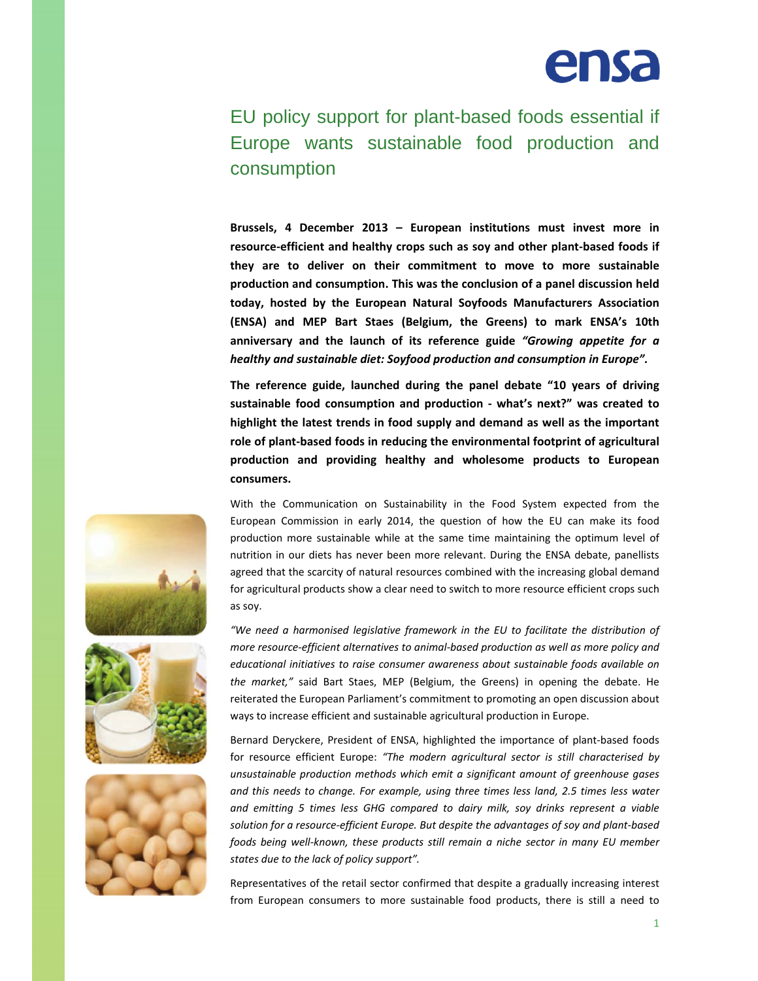

## EU policy support for plant-based foods essential if Europe wants sustainable food production and consumption

**Brussels, 4 December 2013 – European institutions must invest more in resource‐efficient and healthy crops such as soy and other plant‐based foods if they are to deliver on their commitment to move to more sustainable production and consumption. This was the conclusion of a panel discussion held today, hosted by the European Natural Soyfoods Manufacturers Association (ENSA) and MEP Bart Staes (Belgium, the Greens) to mark ENSA's 10th anniversary and the launch of its reference guide** *"Growing appetite for a healthy and sustainable diet: Soyfood production and consumption in Europe".*

**The reference guide, launched during the panel debate "10 years of driving sustainable food consumption and production ‐ what's next?" was created to highlight the latest trends in food supply and demand as well as the important role of plant‐based foods in reducing the environmental footprint of agricultural production and providing healthy and wholesome products to European consumers.**

With the Communication on Sustainability in the Food System expected from the European Commission in early 2014, the question of how the EU can make its food production more sustainable while at the same time maintaining the optimum level of nutrition in our diets has never been more relevant. During the ENSA debate, panellists agreed that the scarcity of natural resources combined with the increasing global demand for agricultural products show a clear need to switch to more resource efficient crops such as soy.

*"We need a harmonised legislative framework in the EU to facilitate the distribution of more resource‐efficient alternatives to animal‐based production as well as more policy and educational initiatives to raise consumer awareness about sustainable foods available on the market,"* said Bart Staes, MEP (Belgium, the Greens) in opening the debate. He reiterated the European Parliament's commitment to promoting an open discussion about ways to increase efficient and sustainable agricultural production in Europe.

Bernard Deryckere, President of ENSA, highlighted the importance of plant‐based foods for resource efficient Europe: *"The modern agricultural sector is still characterised by unsustainable production methods which emit a significant amount of greenhouse gases and this needs to change. For example, using three times less land, 2.5 times less water and emitting 5 times less GHG compared to dairy milk, soy drinks represent a viable solution for a resource‐efficient Europe. But despite the advantages of soy and plant‐based foods being well‐known, these products still remain a niche sector in many EU member states due to the lack of policy support".*

Representatives of the retail sector confirmed that despite a gradually increasing interest from European consumers to more sustainable food products, there is still a need to